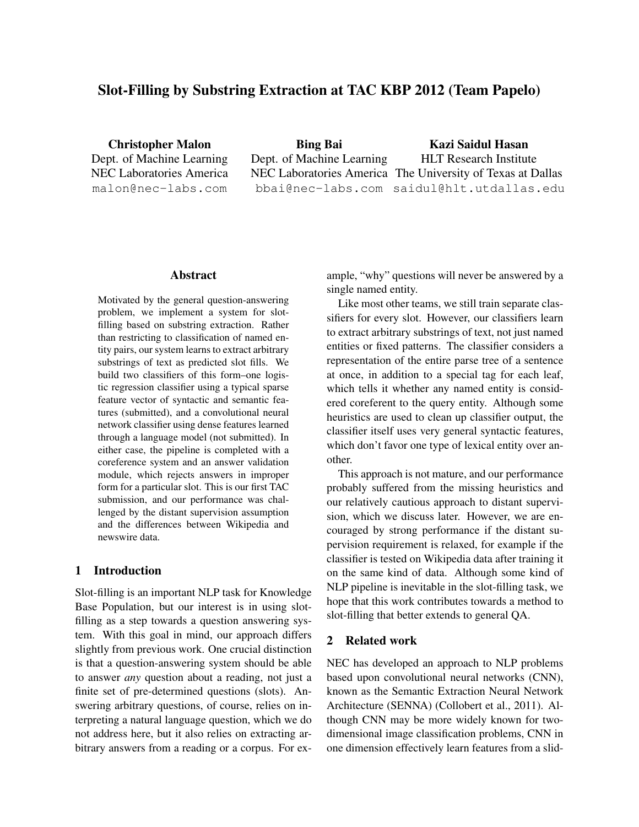# Slot-Filling by Substring Extraction at TAC KBP 2012 (Team Papelo)

Christopher Malon Dept. of Machine Learning NEC Laboratories America malon@nec-labs.com

Bing Bai Dept. of Machine Learning NEC Laboratories America The University of Texas at Dallas bbai@nec-labs.com saidul@hlt.utdallas.edu Kazi Saidul Hasan HLT Research Institute

#### Abstract

Motivated by the general question-answering problem, we implement a system for slotfilling based on substring extraction. Rather than restricting to classification of named entity pairs, our system learns to extract arbitrary substrings of text as predicted slot fills. We build two classifiers of this form–one logistic regression classifier using a typical sparse feature vector of syntactic and semantic features (submitted), and a convolutional neural network classifier using dense features learned through a language model (not submitted). In either case, the pipeline is completed with a coreference system and an answer validation module, which rejects answers in improper form for a particular slot. This is our first TAC submission, and our performance was challenged by the distant supervision assumption and the differences between Wikipedia and newswire data.

## 1 Introduction

Slot-filling is an important NLP task for Knowledge Base Population, but our interest is in using slotfilling as a step towards a question answering system. With this goal in mind, our approach differs slightly from previous work. One crucial distinction is that a question-answering system should be able to answer *any* question about a reading, not just a finite set of pre-determined questions (slots). Answering arbitrary questions, of course, relies on interpreting a natural language question, which we do not address here, but it also relies on extracting arbitrary answers from a reading or a corpus. For example, "why" questions will never be answered by a single named entity.

Like most other teams, we still train separate classifiers for every slot. However, our classifiers learn to extract arbitrary substrings of text, not just named entities or fixed patterns. The classifier considers a representation of the entire parse tree of a sentence at once, in addition to a special tag for each leaf, which tells it whether any named entity is considered coreferent to the query entity. Although some heuristics are used to clean up classifier output, the classifier itself uses very general syntactic features, which don't favor one type of lexical entity over another.

This approach is not mature, and our performance probably suffered from the missing heuristics and our relatively cautious approach to distant supervision, which we discuss later. However, we are encouraged by strong performance if the distant supervision requirement is relaxed, for example if the classifier is tested on Wikipedia data after training it on the same kind of data. Although some kind of NLP pipeline is inevitable in the slot-filling task, we hope that this work contributes towards a method to slot-filling that better extends to general QA.

### 2 Related work

NEC has developed an approach to NLP problems based upon convolutional neural networks (CNN), known as the Semantic Extraction Neural Network Architecture (SENNA) (Collobert et al., 2011). Although CNN may be more widely known for twodimensional image classification problems, CNN in one dimension effectively learn features from a slid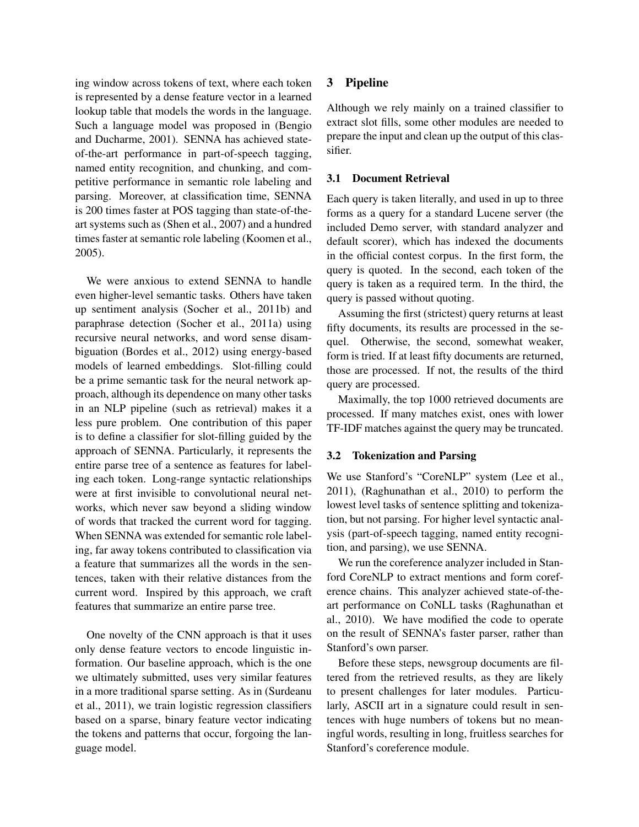ing window across tokens of text, where each token is represented by a dense feature vector in a learned lookup table that models the words in the language. Such a language model was proposed in (Bengio and Ducharme, 2001). SENNA has achieved stateof-the-art performance in part-of-speech tagging, named entity recognition, and chunking, and competitive performance in semantic role labeling and parsing. Moreover, at classification time, SENNA is 200 times faster at POS tagging than state-of-theart systems such as (Shen et al., 2007) and a hundred times faster at semantic role labeling (Koomen et al., 2005).

We were anxious to extend SENNA to handle even higher-level semantic tasks. Others have taken up sentiment analysis (Socher et al., 2011b) and paraphrase detection (Socher et al., 2011a) using recursive neural networks, and word sense disambiguation (Bordes et al., 2012) using energy-based models of learned embeddings. Slot-filling could be a prime semantic task for the neural network approach, although its dependence on many other tasks in an NLP pipeline (such as retrieval) makes it a less pure problem. One contribution of this paper is to define a classifier for slot-filling guided by the approach of SENNA. Particularly, it represents the entire parse tree of a sentence as features for labeling each token. Long-range syntactic relationships were at first invisible to convolutional neural networks, which never saw beyond a sliding window of words that tracked the current word for tagging. When SENNA was extended for semantic role labeling, far away tokens contributed to classification via a feature that summarizes all the words in the sentences, taken with their relative distances from the current word. Inspired by this approach, we craft features that summarize an entire parse tree.

One novelty of the CNN approach is that it uses only dense feature vectors to encode linguistic information. Our baseline approach, which is the one we ultimately submitted, uses very similar features in a more traditional sparse setting. As in (Surdeanu et al., 2011), we train logistic regression classifiers based on a sparse, binary feature vector indicating the tokens and patterns that occur, forgoing the language model.

## 3 Pipeline

Although we rely mainly on a trained classifier to extract slot fills, some other modules are needed to prepare the input and clean up the output of this classifier.

## 3.1 Document Retrieval

Each query is taken literally, and used in up to three forms as a query for a standard Lucene server (the included Demo server, with standard analyzer and default scorer), which has indexed the documents in the official contest corpus. In the first form, the query is quoted. In the second, each token of the query is taken as a required term. In the third, the query is passed without quoting.

Assuming the first (strictest) query returns at least fifty documents, its results are processed in the sequel. Otherwise, the second, somewhat weaker, form is tried. If at least fifty documents are returned, those are processed. If not, the results of the third query are processed.

Maximally, the top 1000 retrieved documents are processed. If many matches exist, ones with lower TF-IDF matches against the query may be truncated.

### 3.2 Tokenization and Parsing

We use Stanford's "CoreNLP" system (Lee et al., 2011), (Raghunathan et al., 2010) to perform the lowest level tasks of sentence splitting and tokenization, but not parsing. For higher level syntactic analysis (part-of-speech tagging, named entity recognition, and parsing), we use SENNA.

We run the coreference analyzer included in Stanford CoreNLP to extract mentions and form coreference chains. This analyzer achieved state-of-theart performance on CoNLL tasks (Raghunathan et al., 2010). We have modified the code to operate on the result of SENNA's faster parser, rather than Stanford's own parser.

Before these steps, newsgroup documents are filtered from the retrieved results, as they are likely to present challenges for later modules. Particularly, ASCII art in a signature could result in sentences with huge numbers of tokens but no meaningful words, resulting in long, fruitless searches for Stanford's coreference module.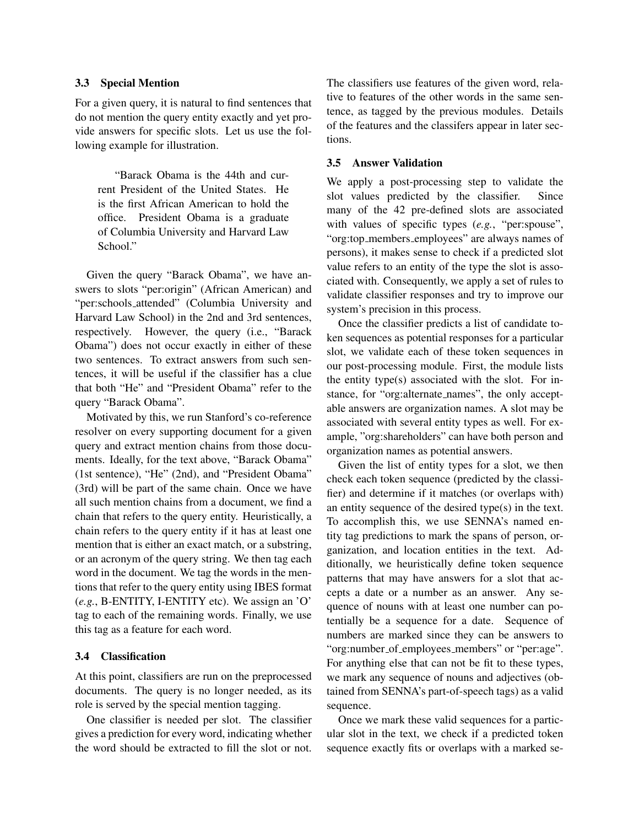## 3.3 Special Mention

For a given query, it is natural to find sentences that do not mention the query entity exactly and yet provide answers for specific slots. Let us use the following example for illustration.

"Barack Obama is the 44th and current President of the United States. He is the first African American to hold the office. President Obama is a graduate of Columbia University and Harvard Law School."

Given the query "Barack Obama", we have answers to slots "per:origin" (African American) and "per:schools attended" (Columbia University and Harvard Law School) in the 2nd and 3rd sentences, respectively. However, the query (i.e., "Barack Obama") does not occur exactly in either of these two sentences. To extract answers from such sentences, it will be useful if the classifier has a clue that both "He" and "President Obama" refer to the query "Barack Obama".

Motivated by this, we run Stanford's co-reference resolver on every supporting document for a given query and extract mention chains from those documents. Ideally, for the text above, "Barack Obama" (1st sentence), "He" (2nd), and "President Obama" (3rd) will be part of the same chain. Once we have all such mention chains from a document, we find a chain that refers to the query entity. Heuristically, a chain refers to the query entity if it has at least one mention that is either an exact match, or a substring, or an acronym of the query string. We then tag each word in the document. We tag the words in the mentions that refer to the query entity using IBES format (*e.g.*, B-ENTITY, I-ENTITY etc). We assign an 'O' tag to each of the remaining words. Finally, we use this tag as a feature for each word.

### 3.4 Classification

At this point, classifiers are run on the preprocessed documents. The query is no longer needed, as its role is served by the special mention tagging.

One classifier is needed per slot. The classifier gives a prediction for every word, indicating whether the word should be extracted to fill the slot or not.

The classifiers use features of the given word, relative to features of the other words in the same sentence, as tagged by the previous modules. Details of the features and the classifers appear in later sections.

#### 3.5 Answer Validation

We apply a post-processing step to validate the slot values predicted by the classifier. Since many of the 42 pre-defined slots are associated with values of specific types (*e.g.*, "per:spouse", "org:top members employees" are always names of persons), it makes sense to check if a predicted slot value refers to an entity of the type the slot is associated with. Consequently, we apply a set of rules to validate classifier responses and try to improve our system's precision in this process.

Once the classifier predicts a list of candidate token sequences as potential responses for a particular slot, we validate each of these token sequences in our post-processing module. First, the module lists the entity type(s) associated with the slot. For instance, for "org:alternate names", the only acceptable answers are organization names. A slot may be associated with several entity types as well. For example, "org:shareholders" can have both person and organization names as potential answers.

Given the list of entity types for a slot, we then check each token sequence (predicted by the classifier) and determine if it matches (or overlaps with) an entity sequence of the desired type(s) in the text. To accomplish this, we use SENNA's named entity tag predictions to mark the spans of person, organization, and location entities in the text. Additionally, we heuristically define token sequence patterns that may have answers for a slot that accepts a date or a number as an answer. Any sequence of nouns with at least one number can potentially be a sequence for a date. Sequence of numbers are marked since they can be answers to "org:number\_of\_employees\_members" or "per:age". For anything else that can not be fit to these types, we mark any sequence of nouns and adjectives (obtained from SENNA's part-of-speech tags) as a valid sequence.

Once we mark these valid sequences for a particular slot in the text, we check if a predicted token sequence exactly fits or overlaps with a marked se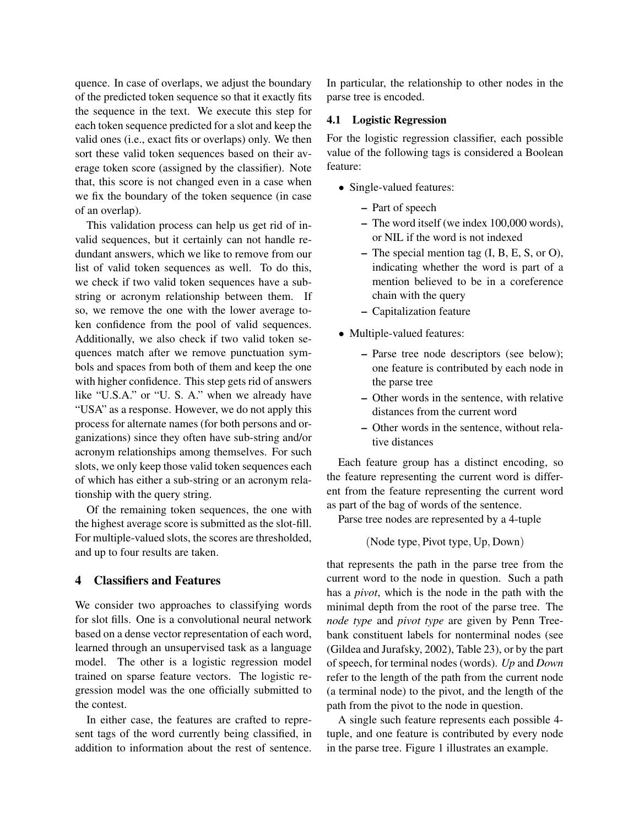quence. In case of overlaps, we adjust the boundary of the predicted token sequence so that it exactly fits the sequence in the text. We execute this step for each token sequence predicted for a slot and keep the valid ones (i.e., exact fits or overlaps) only. We then sort these valid token sequences based on their average token score (assigned by the classifier). Note that, this score is not changed even in a case when we fix the boundary of the token sequence (in case of an overlap).

This validation process can help us get rid of invalid sequences, but it certainly can not handle redundant answers, which we like to remove from our list of valid token sequences as well. To do this, we check if two valid token sequences have a substring or acronym relationship between them. If so, we remove the one with the lower average token confidence from the pool of valid sequences. Additionally, we also check if two valid token sequences match after we remove punctuation symbols and spaces from both of them and keep the one with higher confidence. This step gets rid of answers like "U.S.A." or "U. S. A." when we already have "USA" as a response. However, we do not apply this process for alternate names (for both persons and organizations) since they often have sub-string and/or acronym relationships among themselves. For such slots, we only keep those valid token sequences each of which has either a sub-string or an acronym relationship with the query string.

Of the remaining token sequences, the one with the highest average score is submitted as the slot-fill. For multiple-valued slots, the scores are thresholded, and up to four results are taken.

## 4 Classifiers and Features

We consider two approaches to classifying words for slot fills. One is a convolutional neural network based on a dense vector representation of each word, learned through an unsupervised task as a language model. The other is a logistic regression model trained on sparse feature vectors. The logistic regression model was the one officially submitted to the contest.

In either case, the features are crafted to represent tags of the word currently being classified, in addition to information about the rest of sentence. In particular, the relationship to other nodes in the parse tree is encoded.

#### 4.1 Logistic Regression

For the logistic regression classifier, each possible value of the following tags is considered a Boolean feature:

- Single-valued features:
	- Part of speech
	- The word itself (we index 100,000 words), or NIL if the word is not indexed
	- The special mention tag (I, B, E, S, or O), indicating whether the word is part of a mention believed to be in a coreference chain with the query
	- Capitalization feature
- Multiple-valued features:
	- Parse tree node descriptors (see below); one feature is contributed by each node in the parse tree
	- Other words in the sentence, with relative distances from the current word
	- Other words in the sentence, without relative distances

Each feature group has a distinct encoding, so the feature representing the current word is different from the feature representing the current word as part of the bag of words of the sentence.

Parse tree nodes are represented by a 4-tuple

(Node type, Pivot type, Up, Down)

that represents the path in the parse tree from the current word to the node in question. Such a path has a *pivot*, which is the node in the path with the minimal depth from the root of the parse tree. The *node type* and *pivot type* are given by Penn Treebank constituent labels for nonterminal nodes (see (Gildea and Jurafsky, 2002), Table 23), or by the part of speech, for terminal nodes (words). *Up* and *Down* refer to the length of the path from the current node (a terminal node) to the pivot, and the length of the path from the pivot to the node in question.

A single such feature represents each possible 4 tuple, and one feature is contributed by every node in the parse tree. Figure 1 illustrates an example.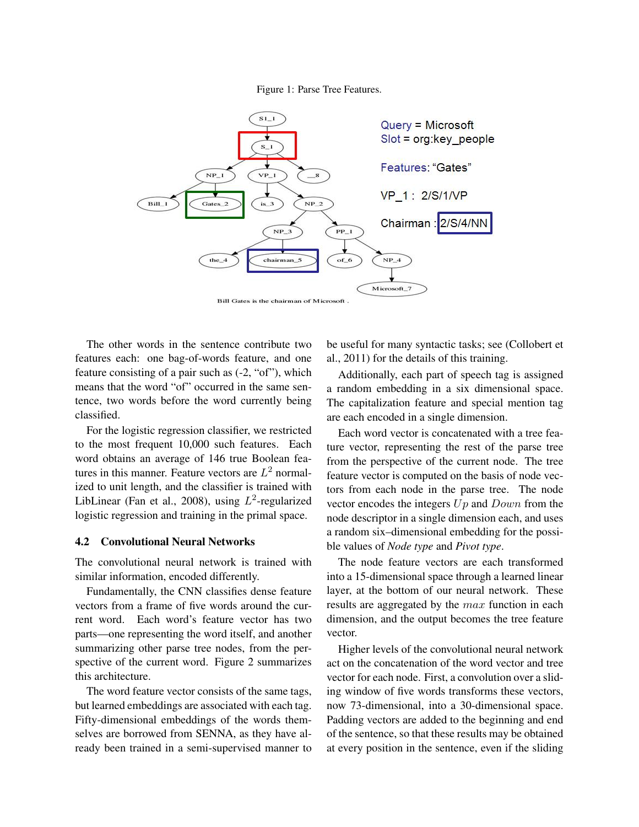



Bill Gates is the chairman of Microsoft.

The other words in the sentence contribute two features each: one bag-of-words feature, and one feature consisting of a pair such as (-2, "of"), which means that the word "of" occurred in the same sentence, two words before the word currently being classified.

For the logistic regression classifier, we restricted to the most frequent 10,000 such features. Each word obtains an average of 146 true Boolean features in this manner. Feature vectors are  $L^2$  normalized to unit length, and the classifier is trained with LibLinear (Fan et al., 2008), using  $L^2$ -regularized logistic regression and training in the primal space.

#### 4.2 Convolutional Neural Networks

The convolutional neural network is trained with similar information, encoded differently.

Fundamentally, the CNN classifies dense feature vectors from a frame of five words around the current word. Each word's feature vector has two parts—one representing the word itself, and another summarizing other parse tree nodes, from the perspective of the current word. Figure 2 summarizes this architecture.

The word feature vector consists of the same tags, but learned embeddings are associated with each tag. Fifty-dimensional embeddings of the words themselves are borrowed from SENNA, as they have already been trained in a semi-supervised manner to be useful for many syntactic tasks; see (Collobert et al., 2011) for the details of this training.

Additionally, each part of speech tag is assigned a random embedding in a six dimensional space. The capitalization feature and special mention tag are each encoded in a single dimension.

Each word vector is concatenated with a tree feature vector, representing the rest of the parse tree from the perspective of the current node. The tree feature vector is computed on the basis of node vectors from each node in the parse tree. The node vector encodes the integers  $Up$  and  $Down$  from the node descriptor in a single dimension each, and uses a random six–dimensional embedding for the possible values of *Node type* and *Pivot type*.

The node feature vectors are each transformed into a 15-dimensional space through a learned linear layer, at the bottom of our neural network. These results are aggregated by the max function in each dimension, and the output becomes the tree feature vector.

Higher levels of the convolutional neural network act on the concatenation of the word vector and tree vector for each node. First, a convolution over a sliding window of five words transforms these vectors, now 73-dimensional, into a 30-dimensional space. Padding vectors are added to the beginning and end of the sentence, so that these results may be obtained at every position in the sentence, even if the sliding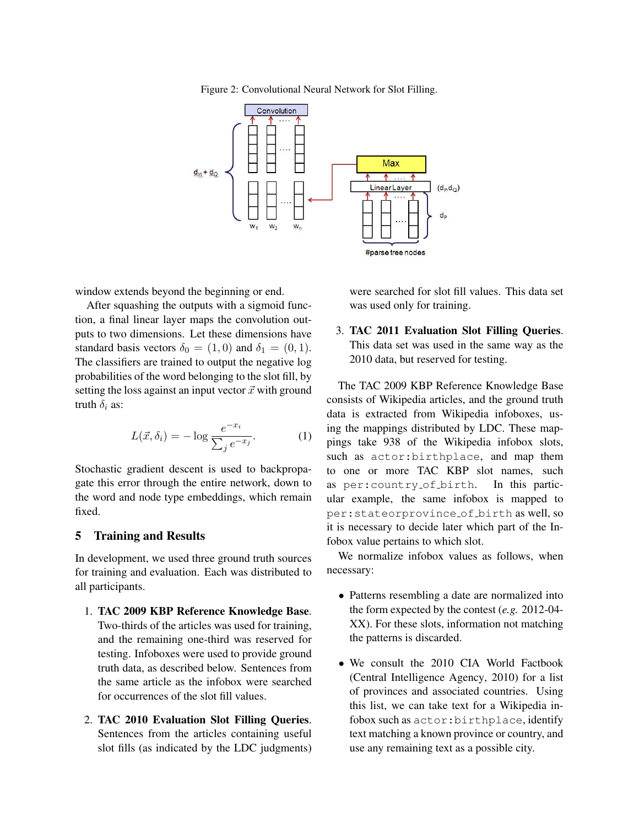Figure 2: Convolutional Neural Network for Slot Filling.



window extends beyond the beginning or end.

After squashing the outputs with a sigmoid function, a final linear layer maps the convolution outputs to two dimensions. Let these dimensions have standard basis vectors  $\delta_0 = (1, 0)$  and  $\delta_1 = (0, 1)$ . The classifiers are trained to output the negative log probabilities of the word belonging to the slot fill, by setting the loss against an input vector  $\vec{x}$  with ground truth  $\delta_i$  as:

$$
L(\vec{x}, \delta_i) = -\log \frac{e^{-x_i}}{\sum_j e^{-x_j}}.
$$
 (1)

Stochastic gradient descent is used to backpropagate this error through the entire network, down to the word and node type embeddings, which remain fixed.

## 5 Training and Results

In development, we used three ground truth sources for training and evaluation. Each was distributed to all participants.

- 1. TAC 2009 KBP Reference Knowledge Base. Two-thirds of the articles was used for training, and the remaining one-third was reserved for testing. Infoboxes were used to provide ground truth data, as described below. Sentences from the same article as the infobox were searched for occurrences of the slot fill values.
- 2. TAC 2010 Evaluation Slot Filling Queries. Sentences from the articles containing useful slot fills (as indicated by the LDC judgments)

were searched for slot fill values. This data set was used only for training.

3. TAC 2011 Evaluation Slot Filling Queries. This data set was used in the same way as the 2010 data, but reserved for testing.

The TAC 2009 KBP Reference Knowledge Base consists of Wikipedia articles, and the ground truth data is extracted from Wikipedia infoboxes, using the mappings distributed by LDC. These mappings take 938 of the Wikipedia infobox slots, such as actor:birthplace, and map them to one or more TAC KBP slot names, such as per:country of birth. In this particular example, the same infobox is mapped to per:stateorprovince of birth as well, so it is necessary to decide later which part of the Infobox value pertains to which slot.

We normalize infobox values as follows, when necessary:

- Patterns resembling a date are normalized into the form expected by the contest (*e.g.* 2012-04- XX). For these slots, information not matching the patterns is discarded.
- We consult the 2010 CIA World Factbook (Central Intelligence Agency, 2010) for a list of provinces and associated countries. Using this list, we can take text for a Wikipedia infobox such as actor:birthplace, identify text matching a known province or country, and use any remaining text as a possible city.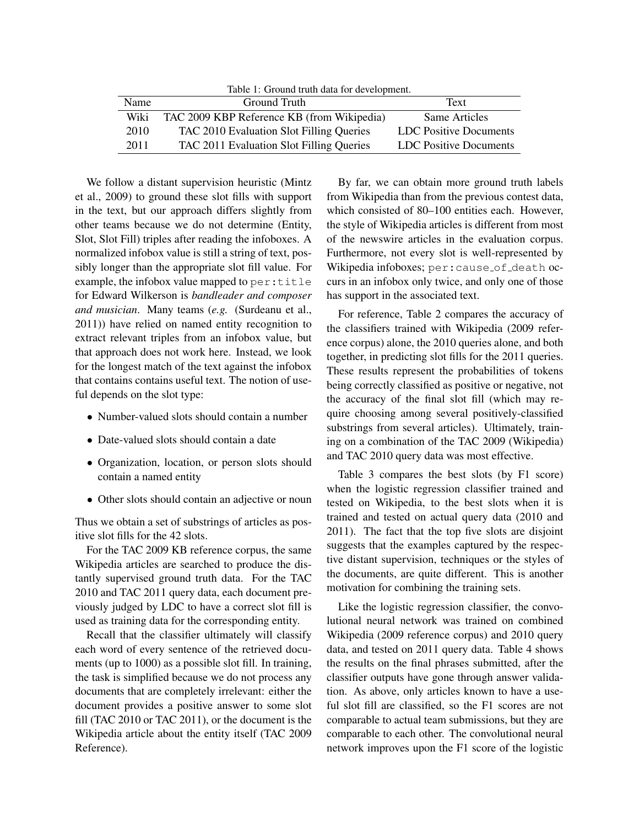Table 1: Ground truth data for development.

| Name | Ground Truth                               | Text                   |  |
|------|--------------------------------------------|------------------------|--|
| Wiki | TAC 2009 KBP Reference KB (from Wikipedia) | Same Articles          |  |
| 2010 | TAC 2010 Evaluation Slot Filling Queries   | LDC Positive Documents |  |
| 2011 | TAC 2011 Evaluation Slot Filling Queries   | LDC Positive Documents |  |

We follow a distant supervision heuristic (Mintz et al., 2009) to ground these slot fills with support in the text, but our approach differs slightly from other teams because we do not determine (Entity, Slot, Slot Fill) triples after reading the infoboxes. A normalized infobox value is still a string of text, possibly longer than the appropriate slot fill value. For example, the infobox value mapped to per:title for Edward Wilkerson is *bandleader and composer and musician*. Many teams (*e.g.* (Surdeanu et al., 2011)) have relied on named entity recognition to extract relevant triples from an infobox value, but that approach does not work here. Instead, we look for the longest match of the text against the infobox that contains contains useful text. The notion of useful depends on the slot type:

- Number-valued slots should contain a number
- Date-valued slots should contain a date
- Organization, location, or person slots should contain a named entity
- Other slots should contain an adjective or noun

Thus we obtain a set of substrings of articles as positive slot fills for the 42 slots.

For the TAC 2009 KB reference corpus, the same Wikipedia articles are searched to produce the distantly supervised ground truth data. For the TAC 2010 and TAC 2011 query data, each document previously judged by LDC to have a correct slot fill is used as training data for the corresponding entity.

Recall that the classifier ultimately will classify each word of every sentence of the retrieved documents (up to 1000) as a possible slot fill. In training, the task is simplified because we do not process any documents that are completely irrelevant: either the document provides a positive answer to some slot fill (TAC 2010 or TAC 2011), or the document is the Wikipedia article about the entity itself (TAC 2009 Reference).

By far, we can obtain more ground truth labels from Wikipedia than from the previous contest data, which consisted of 80–100 entities each. However, the style of Wikipedia articles is different from most of the newswire articles in the evaluation corpus. Furthermore, not every slot is well-represented by Wikipedia infoboxes; per: cause\_of\_death occurs in an infobox only twice, and only one of those has support in the associated text.

For reference, Table 2 compares the accuracy of the classifiers trained with Wikipedia (2009 reference corpus) alone, the 2010 queries alone, and both together, in predicting slot fills for the 2011 queries. These results represent the probabilities of tokens being correctly classified as positive or negative, not the accuracy of the final slot fill (which may require choosing among several positively-classified substrings from several articles). Ultimately, training on a combination of the TAC 2009 (Wikipedia) and TAC 2010 query data was most effective.

Table 3 compares the best slots (by F1 score) when the logistic regression classifier trained and tested on Wikipedia, to the best slots when it is trained and tested on actual query data (2010 and 2011). The fact that the top five slots are disjoint suggests that the examples captured by the respective distant supervision, techniques or the styles of the documents, are quite different. This is another motivation for combining the training sets.

Like the logistic regression classifier, the convolutional neural network was trained on combined Wikipedia (2009 reference corpus) and 2010 query data, and tested on 2011 query data. Table 4 shows the results on the final phrases submitted, after the classifier outputs have gone through answer validation. As above, only articles known to have a useful slot fill are classified, so the F1 scores are not comparable to actual team submissions, but they are comparable to each other. The convolutional neural network improves upon the F1 score of the logistic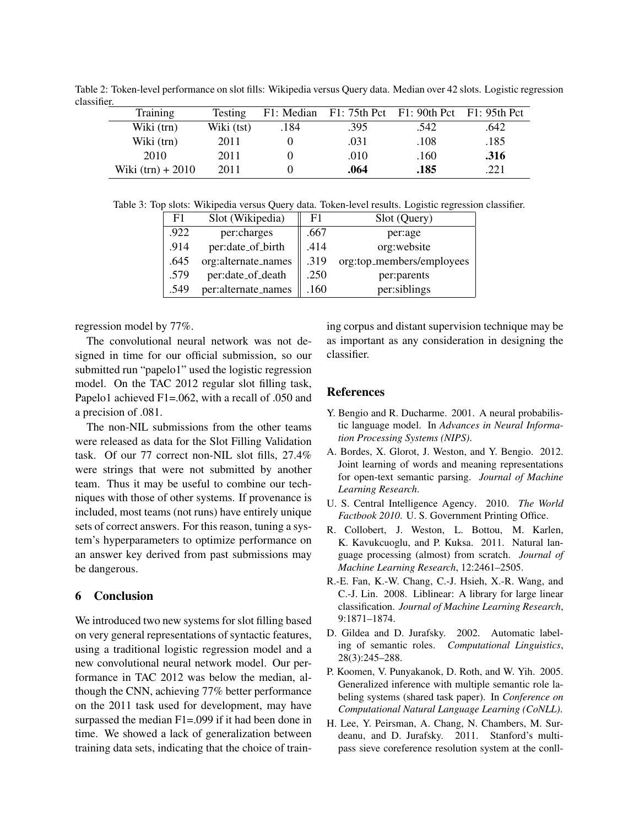Table 2: Token-level performance on slot fills: Wikipedia versus Query data. Median over 42 slots. Logistic regression classifier.

| Training            | Testing    |      | F1: Median F1: 75th Pct F1: 90th Pct F1: 95th Pct |      |      |
|---------------------|------------|------|---------------------------------------------------|------|------|
| Wiki (trn)          | Wiki (tst) | .184 | .395                                              | .542 | .642 |
| Wiki (trn)          | 2011       |      | .031                                              | .108 | .185 |
| 2010                | 2011       |      | .010                                              | .160 | .316 |
| Wiki $(trn) + 2010$ | 2011       |      | .064                                              | .185 | 221  |

Table 3: Top slots: Wikipedia versus Query data. Token-level results. Logistic regression classifier.

| F1   | Slot (Wikipedia)    | F <sub>1</sub> | Slot (Query)              |
|------|---------------------|----------------|---------------------------|
| .922 | per:charges         | .667           | per:age                   |
| .914 | per:date_of_birth   | .414           | org:website               |
| .645 | org:alternate_names | .319           | org:top_members/employees |
| .579 | per:date_of_death   | .250           | per:parents               |
| .549 | per:alternate_names | .160           | per:siblings              |

regression model by 77%.

The convolutional neural network was not designed in time for our official submission, so our submitted run "papelo1" used the logistic regression model. On the TAC 2012 regular slot filling task, Papelo1 achieved F1=.062, with a recall of .050 and a precision of .081.

The non-NIL submissions from the other teams were released as data for the Slot Filling Validation task. Of our 77 correct non-NIL slot fills, 27.4% were strings that were not submitted by another team. Thus it may be useful to combine our techniques with those of other systems. If provenance is included, most teams (not runs) have entirely unique sets of correct answers. For this reason, tuning a system's hyperparameters to optimize performance on an answer key derived from past submissions may be dangerous.

## 6 Conclusion

We introduced two new systems for slot filling based on very general representations of syntactic features, using a traditional logistic regression model and a new convolutional neural network model. Our performance in TAC 2012 was below the median, although the CNN, achieving 77% better performance on the 2011 task used for development, may have surpassed the median F1=.099 if it had been done in time. We showed a lack of generalization between training data sets, indicating that the choice of training corpus and distant supervision technique may be as important as any consideration in designing the classifier.

#### References

- Y. Bengio and R. Ducharme. 2001. A neural probabilistic language model. In *Advances in Neural Information Processing Systems (NIPS)*.
- A. Bordes, X. Glorot, J. Weston, and Y. Bengio. 2012. Joint learning of words and meaning representations for open-text semantic parsing. *Journal of Machine Learning Research*.
- U. S. Central Intelligence Agency. 2010. *The World Factbook 2010*. U. S. Government Printing Office.
- R. Collobert, J. Weston, L. Bottou, M. Karlen, K. Kavukcuoglu, and P. Kuksa. 2011. Natural language processing (almost) from scratch. *Journal of Machine Learning Research*, 12:2461–2505.
- R.-E. Fan, K.-W. Chang, C.-J. Hsieh, X.-R. Wang, and C.-J. Lin. 2008. Liblinear: A library for large linear classification. *Journal of Machine Learning Research*, 9:1871–1874.
- D. Gildea and D. Jurafsky. 2002. Automatic labeling of semantic roles. *Computational Linguistics*, 28(3):245–288.
- P. Koomen, V. Punyakanok, D. Roth, and W. Yih. 2005. Generalized inference with multiple semantic role labeling systems (shared task paper). In *Conference on Computational Natural Language Learning (CoNLL)*.
- H. Lee, Y. Peirsman, A. Chang, N. Chambers, M. Surdeanu, and D. Jurafsky. 2011. Stanford's multipass sieve coreference resolution system at the conll-